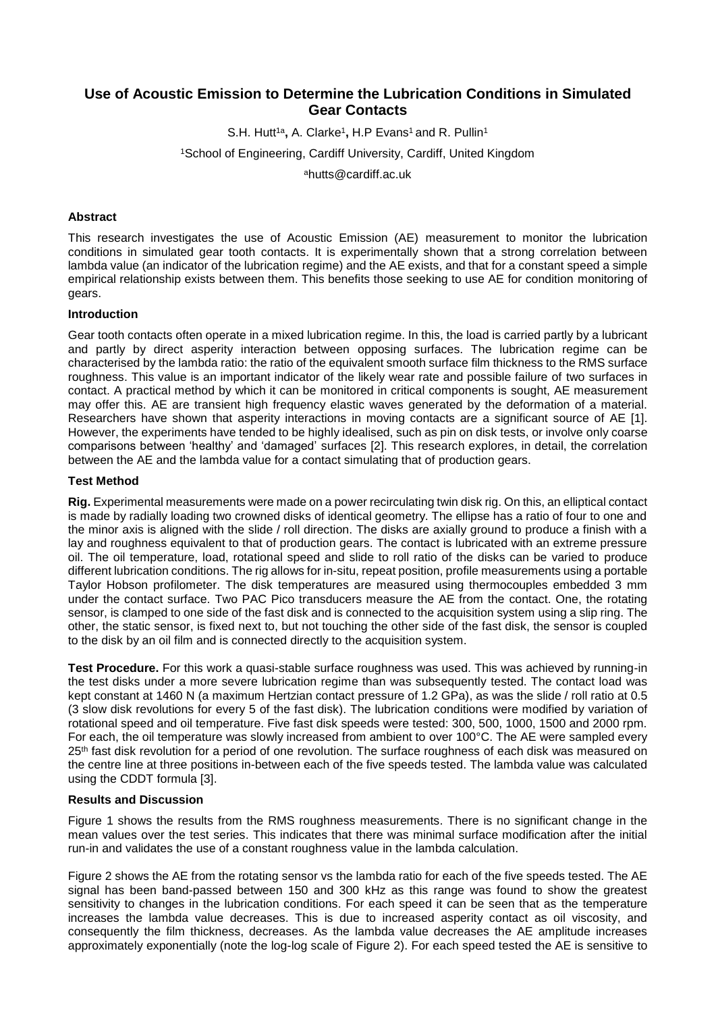# **Use of Acoustic Emission to Determine the Lubrication Conditions in Simulated Gear Contacts**

S.H. Hutt<sup>1a</sup>, A. Clarke<sup>1</sup>, H.P Evans<sup>1</sup> and R. Pullin<sup>1</sup> <sup>1</sup>School of Engineering, Cardiff University, Cardiff, United Kingdom <sup>a</sup>hutts@cardiff.ac.uk

# **Abstract**

This research investigates the use of Acoustic Emission (AE) measurement to monitor the lubrication conditions in simulated gear tooth contacts. It is experimentally shown that a strong correlation between lambda value (an indicator of the lubrication regime) and the AE exists, and that for a constant speed a simple empirical relationship exists between them. This benefits those seeking to use AE for condition monitoring of gears.

## **Introduction**

Gear tooth contacts often operate in a mixed lubrication regime. In this, the load is carried partly by a lubricant and partly by direct asperity interaction between opposing surfaces. The lubrication regime can be characterised by the lambda ratio: the ratio of the equivalent smooth surface film thickness to the RMS surface roughness. This value is an important indicator of the likely wear rate and possible failure of two surfaces in contact. A practical method by which it can be monitored in critical components is sought, AE measurement may offer this. AE are transient high frequency elastic waves generated by the deformation of a material. Researchers have shown that asperity interactions in moving contacts are a significant source of AE [1]. However, the experiments have tended to be highly idealised, such as pin on disk tests, or involve only coarse comparisons between 'healthy' and 'damaged' surfaces [2]. This research explores, in detail, the correlation between the AE and the lambda value for a contact simulating that of production gears.

### **Test Method**

**Rig.** Experimental measurements were made on a power recirculating twin disk rig. On this, an elliptical contact is made by radially loading two crowned disks of identical geometry. The ellipse has a ratio of four to one and the minor axis is aligned with the slide / roll direction. The disks are axially ground to produce a finish with a lay and roughness equivalent to that of production gears. The contact is lubricated with an extreme pressure oil. The oil temperature, load, rotational speed and slide to roll ratio of the disks can be varied to produce different lubrication conditions. The rig allows for in-situ, repeat position, profile measurements using a portable Taylor Hobson profilometer. The disk temperatures are measured using thermocouples embedded 3 mm under the contact surface. Two PAC Pico transducers measure the AE from the contact. One, the rotating sensor, is clamped to one side of the fast disk and is connected to the acquisition system using a slip ring. The other, the static sensor, is fixed next to, but not touching the other side of the fast disk, the sensor is coupled to the disk by an oil film and is connected directly to the acquisition system.

**Test Procedure.** For this work a quasi-stable surface roughness was used. This was achieved by running-in the test disks under a more severe lubrication regime than was subsequently tested. The contact load was kept constant at 1460 N (a maximum Hertzian contact pressure of 1.2 GPa), as was the slide / roll ratio at 0.5 (3 slow disk revolutions for every 5 of the fast disk). The lubrication conditions were modified by variation of rotational speed and oil temperature. Five fast disk speeds were tested: 300, 500, 1000, 1500 and 2000 rpm. For each, the oil temperature was slowly increased from ambient to over 100°C. The AE were sampled every 25<sup>th</sup> fast disk revolution for a period of one revolution. The surface roughness of each disk was measured on the centre line at three positions in-between each of the five speeds tested. The lambda value was calculated using the CDDT formula [3].

### **Results and Discussion**

[Figure](#page-1-0) 1 shows the results from the RMS roughness measurements. There is no significant change in the mean values over the test series. This indicates that there was minimal surface modification after the initial run-in and validates the use of a constant roughness value in the lambda calculation.

[Figure 2](#page-1-1) shows the AE from the rotating sensor vs the lambda ratio for each of the five speeds tested. The AE signal has been band-passed between 150 and 300 kHz as this range was found to show the greatest sensitivity to changes in the lubrication conditions. For each speed it can be seen that as the temperature increases the lambda value decreases. This is due to increased asperity contact as oil viscosity, and consequently the film thickness, decreases. As the lambda value decreases the AE amplitude increases approximately exponentially (note the log-log scale of [Figure 2\)](#page-1-1). For each speed tested the AE is sensitive to